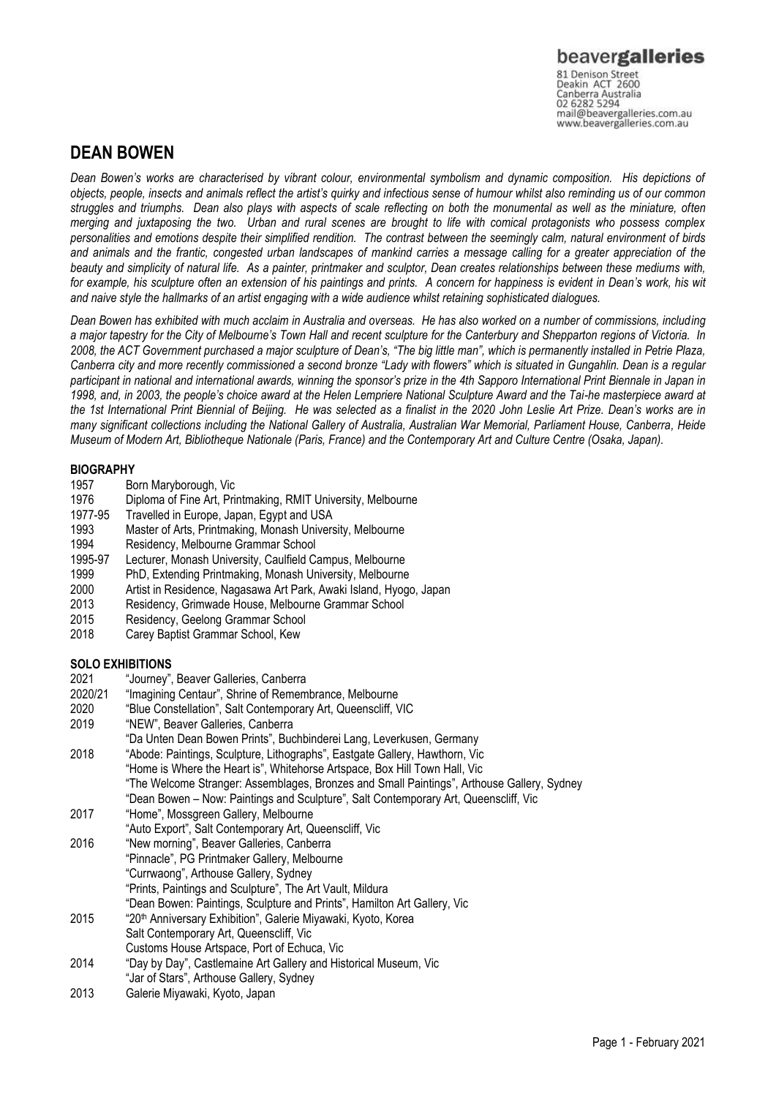Canberra Australia<br>02 6282 5294 mail@beavergalleries.com.au www.beavergalleries.com.au

# **DEAN BOWEN**

*Dean Bowen's works are characterised by vibrant colour, environmental symbolism and dynamic composition. His depictions of objects, people, insects and animals reflect the artist's quirky and infectious sense of humour whilst also reminding us of our common struggles and triumphs. Dean also plays with aspects of scale reflecting on both the monumental as well as the miniature, often merging and juxtaposing the two. Urban and rural scenes are brought to life with comical protagonists who possess complex personalities and emotions despite their simplified rendition. The contrast between the seemingly calm, natural environment of birds and animals and the frantic, congested urban landscapes of mankind carries a message calling for a greater appreciation of the beauty and simplicity of natural life. As a painter, printmaker and sculptor, Dean creates relationships between these mediums with, for example, his sculpture often an extension of his paintings and prints. A concern for happiness is evident in Dean's work, his wit and naive style the hallmarks of an artist engaging with a wide audience whilst retaining sophisticated dialogues.*

*Dean Bowen has exhibited with much acclaim in Australia and overseas. He has also worked on a number of commissions, including a major tapestry for the City of Melbourne's Town Hall and recent sculpture for the Canterbury and Shepparton regions of Victoria. In*  2008, the ACT Government purchased a major sculpture of Dean's, "The big little man", which is permanently installed in Petrie Plaza, *Canberra city and more recently commissioned a second bronze "Lady with flowers" which is situated in Gungahlin. Dean is a regular participant in national and international awards, winning the sponsor's prize in the 4th Sapporo International Print Biennale in Japan in 1998, and, in 2003, the people's choice award at the Helen Lempriere National Sculpture Award and the Tai-he masterpiece award at the 1st International Print Biennial of Beijing. He was selected as a finalist in the 2020 John Leslie Art Prize. Dean's works are in many significant collections including the National Gallery of Australia, Australian War Memorial, Parliament House, Canberra, Heide Museum of Modern Art, Bibliotheque Nationale (Paris, France) and the Contemporary Art and Culture Centre (Osaka, Japan).*

### **BIOGRAPHY**

- 1957 Born Maryborough, Vic
- 1976 Diploma of Fine Art, Printmaking, RMIT University, Melbourne
- 1977-95 Travelled in Europe, Japan, Egypt and USA
- 1993 Master of Arts, Printmaking, Monash University, Melbourne
- 1994 Residency, Melbourne Grammar School
- 1995-97 Lecturer, Monash University, Caulfield Campus, Melbourne
- 1999 PhD, Extending Printmaking, Monash University, Melbourne
- 
- 2000 Artist in Residence, Nagasawa Art Park, Awaki Island, Hyogo, Japan 2013 Residency, Grimwade House, Melbourne Grammar School
- 
- 2015 Residency, Geelong Grammar School<br>2018 Carev Baptist Grammar School. Kew Carey Baptist Grammar School, Kew

### **SOLO EXHIBITIONS**

- 2021 "Journey", Beaver Galleries, Canberra
- 2020/21 "Imagining Centaur", Shrine of Remembrance, Melbourne
- 2020 "Blue Constellation", Salt Contemporary Art, Queenscliff, VIC
- 2019 "NEW", Beaver Galleries, Canberra
- "Da Unten Dean Bowen Prints", Buchbinderei Lang, Leverkusen, Germany
- 2018 "Abode: Paintings, Sculpture, Lithographs", Eastgate Gallery, Hawthorn, Vic "Home is Where the Heart is", Whitehorse Artspace, Box Hill Town Hall, Vic "The Welcome Stranger: Assemblages, Bronzes and Small Paintings", Arthouse Gallery, Sydney
- "Dean Bowen Now: Paintings and Sculpture", Salt Contemporary Art, Queenscliff, Vic
- 2017 "Home", Mossgreen Gallery, Melbourne
- "Auto Export", Salt Contemporary Art, Queenscliff, Vic
- 2016 "New morning", Beaver Galleries, Canberra "Pinnacle", PG Printmaker Gallery, Melbourne "Currwaong", Arthouse Gallery, Sydney "Prints, Paintings and Sculpture", The Art Vault, Mildura "Dean Bowen: Paintings, Sculpture and Prints", Hamilton Art Gallery, Vic
- 2015 "20th Anniversary Exhibition", Galerie Miyawaki, Kyoto, Korea Salt Contemporary Art, Queenscliff, Vic Customs House Artspace, Port of Echuca, Vic
- 2014 "Day by Day", Castlemaine Art Gallery and Historical Museum, Vic
- "Jar of Stars", Arthouse Gallery, Sydney
- 2013 Galerie Miyawaki, Kyoto, Japan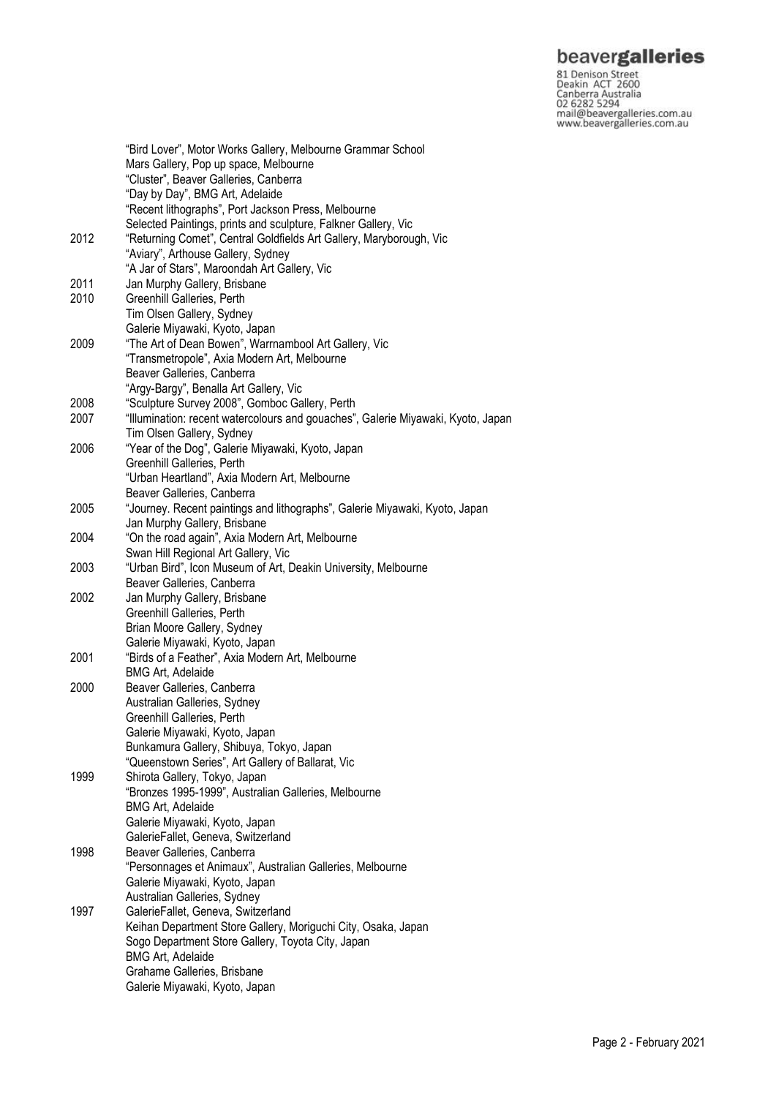**beavergalleries**<br> **81 Denison Street**<br>
Deakin ACT 2600<br>
Canberra Australia<br>
02 6282 5294<br>
mail@beavergalleries.com.au<br>
www.beavergalleries.com.au

|      | "Bird Lover", Motor Works Gallery, Melbourne Grammar School<br>Mars Gallery, Pop up space, Melbourne |
|------|------------------------------------------------------------------------------------------------------|
|      | "Cluster", Beaver Galleries, Canberra<br>"Day by Day", BMG Art, Adelaide                             |
|      | "Recent lithographs", Port Jackson Press, Melbourne                                                  |
|      | Selected Paintings, prints and sculpture, Falkner Gallery, Vic                                       |
| 2012 | "Returning Comet", Central Goldfields Art Gallery, Maryborough, Vic                                  |
|      | "Aviary", Arthouse Gallery, Sydney                                                                   |
|      | "A Jar of Stars", Maroondah Art Gallery, Vic                                                         |
| 2011 | Jan Murphy Gallery, Brisbane                                                                         |
| 2010 | Greenhill Galleries, Perth                                                                           |
|      | Tim Olsen Gallery, Sydney                                                                            |
|      | Galerie Miyawaki, Kyoto, Japan                                                                       |
| 2009 | "The Art of Dean Bowen", Warrnambool Art Gallery, Vic                                                |
|      | "Transmetropole", Axia Modern Art, Melbourne                                                         |
|      | Beaver Galleries, Canberra                                                                           |
|      | "Argy-Bargy", Benalla Art Gallery, Vic                                                               |
| 2008 | "Sculpture Survey 2008", Gomboc Gallery, Perth                                                       |
| 2007 | "Illumination: recent watercolours and gouaches", Galerie Miyawaki, Kyoto, Japan                     |
|      | Tim Olsen Gallery, Sydney                                                                            |
| 2006 | "Year of the Dog", Galerie Miyawaki, Kyoto, Japan                                                    |
|      | Greenhill Galleries, Perth                                                                           |
|      | "Urban Heartland", Axia Modern Art, Melbourne                                                        |
|      | Beaver Galleries, Canberra                                                                           |
| 2005 | "Journey. Recent paintings and lithographs", Galerie Miyawaki, Kyoto, Japan                          |
|      | Jan Murphy Gallery, Brisbane                                                                         |
| 2004 | "On the road again", Axia Modern Art, Melbourne                                                      |
|      | Swan Hill Regional Art Gallery, Vic                                                                  |
| 2003 | "Urban Bird", Icon Museum of Art, Deakin University, Melbourne                                       |
|      | Beaver Galleries, Canberra                                                                           |
| 2002 | Jan Murphy Gallery, Brisbane                                                                         |
|      | Greenhill Galleries, Perth                                                                           |
|      | Brian Moore Gallery, Sydney                                                                          |
|      | Galerie Miyawaki, Kyoto, Japan                                                                       |
| 2001 | "Birds of a Feather", Axia Modern Art, Melbourne                                                     |
|      | <b>BMG Art, Adelaide</b>                                                                             |
| 2000 | Beaver Galleries, Canberra                                                                           |
|      | Australian Galleries, Sydney                                                                         |
|      | Greenhill Galleries, Perth                                                                           |
|      | Galerie Miyawaki, Kyoto, Japan                                                                       |
|      | Bunkamura Gallery, Shibuya, Tokyo, Japan                                                             |
|      | "Queenstown Series", Art Gallery of Ballarat, Vic                                                    |
| 1999 | Shirota Gallery, Tokyo, Japan                                                                        |
|      | "Bronzes 1995-1999", Australian Galleries, Melbourne                                                 |
|      | <b>BMG Art, Adelaide</b>                                                                             |
|      | Galerie Miyawaki, Kyoto, Japan                                                                       |
|      | GalerieFallet, Geneva, Switzerland                                                                   |
| 1998 | Beaver Galleries, Canberra                                                                           |
|      | "Personnages et Animaux", Australian Galleries, Melbourne                                            |
|      | Galerie Miyawaki, Kyoto, Japan                                                                       |
|      | Australian Galleries, Sydney                                                                         |
| 1997 | GalerieFallet, Geneva, Switzerland                                                                   |
|      | Keihan Department Store Gallery, Moriguchi City, Osaka, Japan                                        |
|      | Sogo Department Store Gallery, Toyota City, Japan                                                    |
|      | <b>BMG Art, Adelaide</b>                                                                             |
|      | Grahame Galleries, Brisbane                                                                          |
|      | Galerie Miyawaki, Kyoto, Japan                                                                       |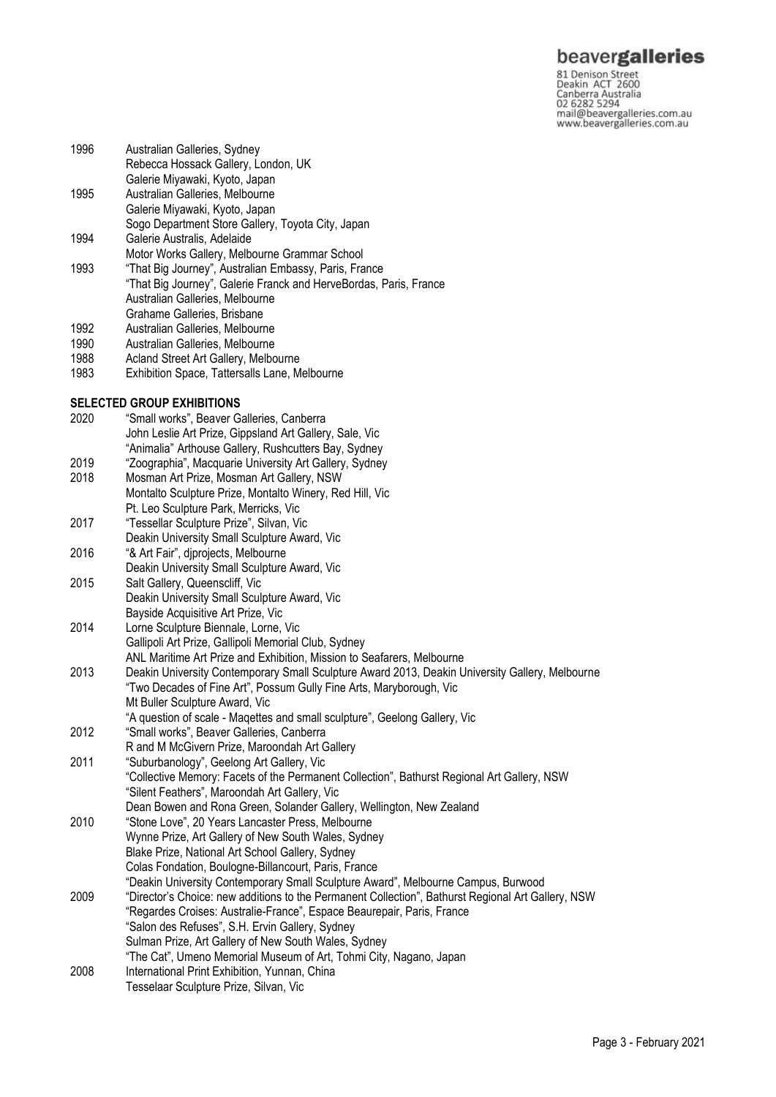## beavergalleries

81 Denison Street<br>Deakin ACT 2600 Canberra Australia 02 6282 5294 mail@beavergalleries.com.au www.beavergalleries.com.au

- Rebecca Hossack Gallery, London, UK Galerie Miyawaki, Kyoto, Japan 1995 Australian Galleries, Melbourne Galerie Miyawaki, Kyoto, Japan Sogo Department Store Gallery, Toyota City, Japan 1994 Galerie Australis, Adelaide Motor Works Gallery, Melbourne Grammar School 1993 "That Big Journey", Australian Embassy, Paris, France "That Big Journey", Galerie Franck and HerveBordas, Paris, France Australian Galleries, Melbourne Grahame Galleries, Brisbane 1992 Australian Galleries, Melbourne 1990 Australian Galleries, Melbourne 1988 Acland Street Art Gallery, Melbourne 1983 Exhibition Space, Tattersalls Lane, Melbourne **SELECTED GROUP EXHIBITIONS** 2020 "Small works", Beaver Galleries, Canberra John Leslie Art Prize, Gippsland Art Gallery, Sale, Vic "Animalia" Arthouse Gallery, Rushcutters Bay, Sydney 2019 "Zoographia", Macquarie University Art Gallery, Sydney Mosman Art Prize, Mosman Art Gallery, NSW Montalto Sculpture Prize, Montalto Winery, Red Hill, Vic Pt. Leo Sculpture Park, Merricks, Vic 2017 "Tessellar Sculpture Prize", Silvan, Vic Deakin University Small Sculpture Award, Vic 2016 "& Art Fair", djprojects, Melbourne Deakin University Small Sculpture Award, Vic 2015 Salt Gallery, Queenscliff, Vic Deakin University Small Sculpture Award, Vic
- Bayside Acquisitive Art Prize, Vic

1996 Australian Galleries, Sydney

- 2014 Lorne Sculpture Biennale, Lorne, Vic Gallipoli Art Prize, Gallipoli Memorial Club, Sydney ANL Maritime Art Prize and Exhibition, Mission to Seafarers, Melbourne 2013 Deakin University Contemporary Small Sculpture Award 2013, Deakin University Gallery, Melbourne
- "Two Decades of Fine Art", Possum Gully Fine Arts, Maryborough, Vic Mt Buller Sculpture Award, Vic
- "A question of scale Maqettes and small sculpture", Geelong Gallery, Vic
- 2012 "Small works", Beaver Galleries, Canberra R and M McGivern Prize, Maroondah Art Gallery 2011 "Suburbanology", Geelong Art Gallery, Vic "Collective Memory: Facets of the Permanent Collection", Bathurst Regional Art Gallery, NSW "Silent Feathers", Maroondah Art Gallery, Vic
- Dean Bowen and Rona Green, Solander Gallery, Wellington, New Zealand
- 2010 "Stone Love", 20 Years Lancaster Press, Melbourne Wynne Prize, Art Gallery of New South Wales, Sydney Blake Prize, National Art School Gallery, Sydney Colas Fondation, Boulogne-Billancourt, Paris, France "Deakin University Contemporary Small Sculpture Award", Melbourne Campus, Burwood 2009 "Director's Choice: new additions to the Permanent Collection", Bathurst Regional Art Gallery, NSW "Regardes Croises: Australie-France", Espace Beaurepair, Paris, France "Salon des Refuses", S.H. Ervin Gallery, Sydney
- Sulman Prize, Art Gallery of New South Wales, Sydney
- "The Cat", Umeno Memorial Museum of Art, Tohmi City, Nagano, Japan
- 2008 International Print Exhibition, Yunnan, China
- Tesselaar Sculpture Prize, Silvan, Vic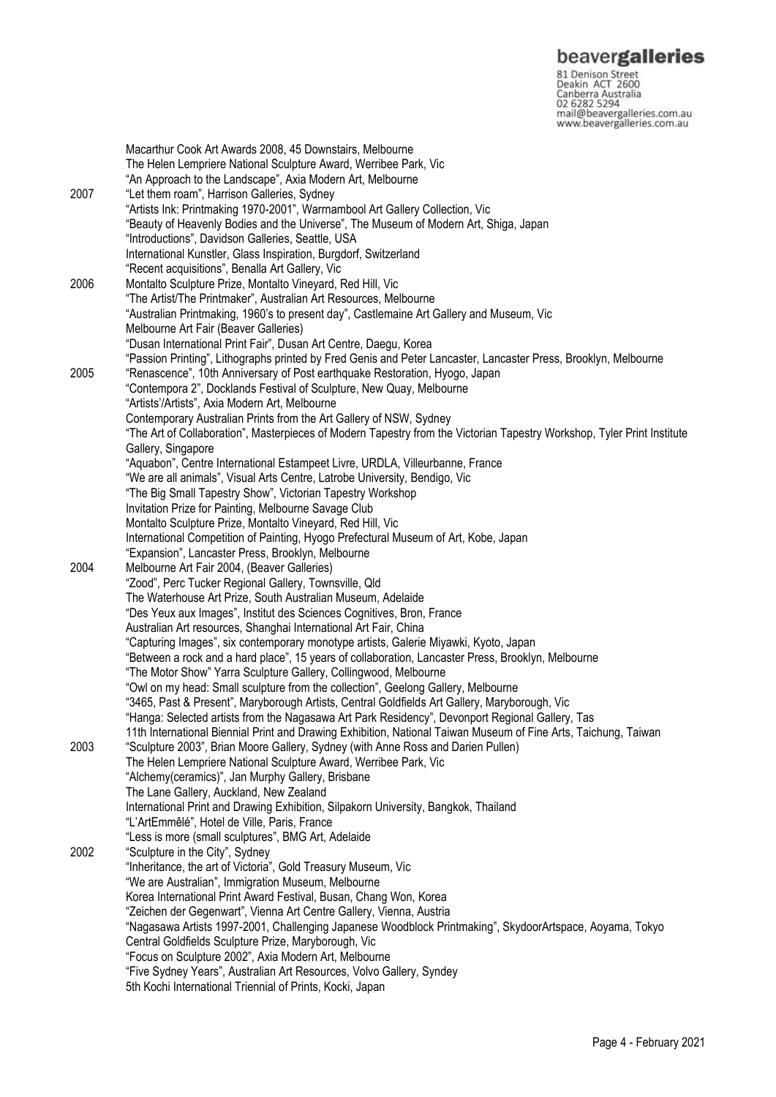**beavergalleries**<br> **81 Denison Street**<br>
Deakin ACT 2600<br>
Canberra Australia<br>
02 6282 5294<br>
mail@beavergalleries.com.au<br>
www.beavergalleries.com.au

|      | Macarthur Cook Art Awards 2008, 45 Downstairs, Melbourne                                                                |
|------|-------------------------------------------------------------------------------------------------------------------------|
|      | The Helen Lempriere National Sculpture Award, Werribee Park, Vic                                                        |
|      | "An Approach to the Landscape", Axia Modern Art, Melbourne                                                              |
| 2007 | "Let them roam", Harrison Galleries, Sydney                                                                             |
|      | "Artists Ink: Printmaking 1970-2001", Warrnambool Art Gallery Collection, Vic                                           |
|      | "Beauty of Heavenly Bodies and the Universe", The Museum of Modern Art, Shiga, Japan                                    |
|      | "Introductions", Davidson Galleries, Seattle, USA                                                                       |
|      |                                                                                                                         |
|      | International Kunstler, Glass Inspiration, Burgdorf, Switzerland                                                        |
|      | "Recent acquisitions", Benalla Art Gallery, Vic                                                                         |
| 2006 | Montalto Sculpture Prize, Montalto Vineyard, Red Hill, Vic                                                              |
|      | "The Artist/The Printmaker", Australian Art Resources, Melbourne                                                        |
|      | "Australian Printmaking, 1960's to present day", Castlemaine Art Gallery and Museum, Vic                                |
|      | Melbourne Art Fair (Beaver Galleries)                                                                                   |
|      | "Dusan International Print Fair", Dusan Art Centre, Daegu, Korea                                                        |
|      | "Passion Printing", Lithographs printed by Fred Genis and Peter Lancaster, Lancaster Press, Brooklyn, Melbourne         |
| 2005 | "Renascence", 10th Anniversary of Post earthquake Restoration, Hyogo, Japan                                             |
|      | "Contempora 2", Docklands Festival of Sculpture, New Quay, Melbourne                                                    |
|      | "Artists'/Artists", Axia Modern Art, Melbourne                                                                          |
|      | Contemporary Australian Prints from the Art Gallery of NSW, Sydney                                                      |
|      |                                                                                                                         |
|      | "The Art of Collaboration", Masterpieces of Modern Tapestry from the Victorian Tapestry Workshop, Tyler Print Institute |
|      | Gallery, Singapore                                                                                                      |
|      | "Aquabon", Centre International Estampeet Livre, URDLA, Villeurbanne, France                                            |
|      | "We are all animals", Visual Arts Centre, Latrobe University, Bendigo, Vic                                              |
|      | "The Big Small Tapestry Show", Victorian Tapestry Workshop                                                              |
|      | Invitation Prize for Painting, Melbourne Savage Club                                                                    |
|      | Montalto Sculpture Prize, Montalto Vineyard, Red Hill, Vic                                                              |
|      | International Competition of Painting, Hyogo Prefectural Museum of Art, Kobe, Japan                                     |
|      | "Expansion", Lancaster Press, Brooklyn, Melbourne                                                                       |
| 2004 | Melbourne Art Fair 2004, (Beaver Galleries)                                                                             |
|      | "Zood", Perc Tucker Regional Gallery, Townsville, Qld                                                                   |
|      | The Waterhouse Art Prize, South Australian Museum, Adelaide                                                             |
|      | "Des Yeux aux Images", Institut des Sciences Cognitives, Bron, France                                                   |
|      | Australian Art resources, Shanghai International Art Fair, China                                                        |
|      |                                                                                                                         |
|      | "Capturing Images", six contemporary monotype artists, Galerie Miyawki, Kyoto, Japan                                    |
|      | "Between a rock and a hard place", 15 years of collaboration, Lancaster Press, Brooklyn, Melbourne                      |
|      | "The Motor Show" Yarra Sculpture Gallery, Collingwood, Melbourne                                                        |
|      | "Owl on my head: Small sculpture from the collection", Geelong Gallery, Melbourne                                       |
|      | "3465, Past & Present", Maryborough Artists, Central Goldfields Art Gallery, Maryborough, Vic                           |
|      | "Hanga: Selected artists from the Nagasawa Art Park Residency", Devonport Regional Gallery, Tas                         |
|      | 11th International Biennial Print and Drawing Exhibition, National Taiwan Museum of Fine Arts, Taichung, Taiwan         |
| 2003 | "Sculpture 2003", Brian Moore Gallery, Sydney (with Anne Ross and Darien Pullen)                                        |
|      | The Helen Lempriere National Sculpture Award, Werribee Park, Vic                                                        |
|      | "Alchemy(ceramics)", Jan Murphy Gallery, Brisbane                                                                       |
|      | The Lane Gallery, Auckland, New Zealand                                                                                 |
|      | International Print and Drawing Exhibition, Silpakorn University, Bangkok, Thailand                                     |
|      | "L'ArtEmmêlé", Hotel de Ville, Paris, France                                                                            |
|      | "Less is more (small sculptures", BMG Art, Adelaide                                                                     |
|      | "Sculpture in the City", Sydney                                                                                         |
| 2002 |                                                                                                                         |
|      | "Inheritance, the art of Victoria", Gold Treasury Museum, Vic                                                           |
|      | "We are Australian", Immigration Museum, Melbourne                                                                      |
|      | Korea International Print Award Festival, Busan, Chang Won, Korea                                                       |
|      | "Zeichen der Gegenwart", Vienna Art Centre Gallery, Vienna, Austria                                                     |
|      | "Nagasawa Artists 1997-2001, Challenging Japanese Woodblock Printmaking", SkydoorArtspace, Aoyama, Tokyo                |
|      | Central Goldfields Sculpture Prize, Maryborough, Vic                                                                    |
|      | "Focus on Sculpture 2002", Axia Modern Art, Melbourne                                                                   |
|      | "Five Sydney Years", Australian Art Resources, Volvo Gallery, Syndey                                                    |
|      | 5th Kochi International Triennial of Prints, Kocki, Japan                                                               |
|      |                                                                                                                         |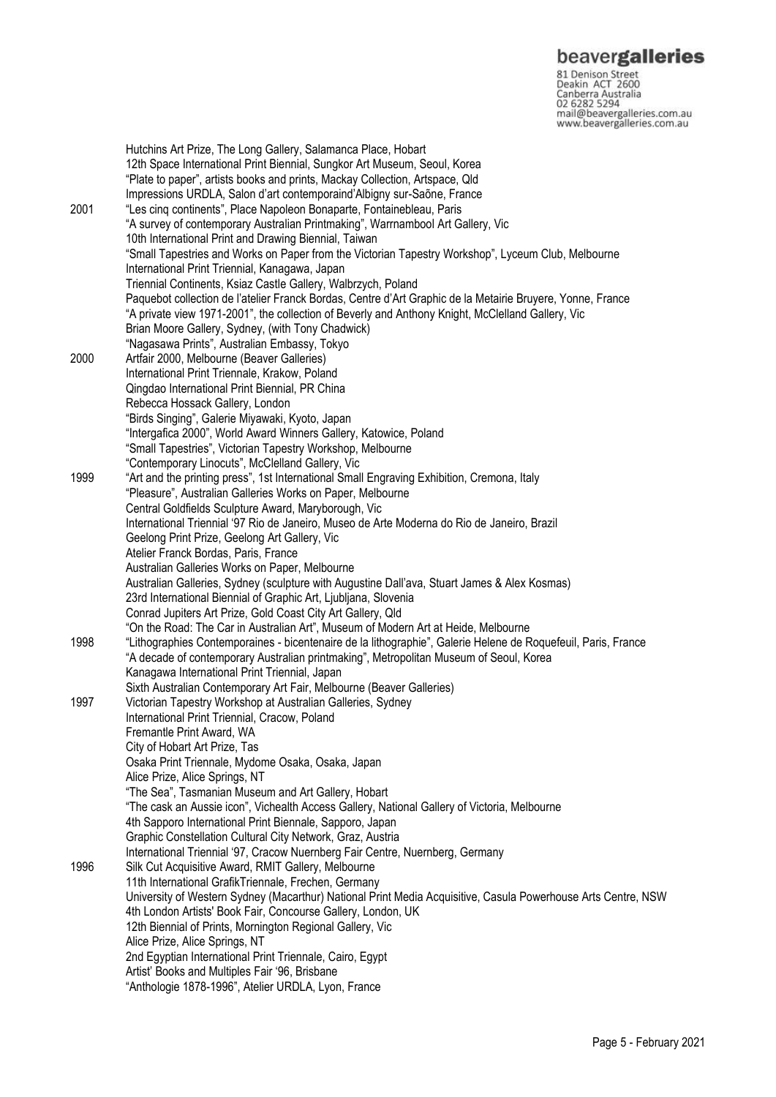**beavergalleries**<br> **81 Denison Street**<br>
Deakin ACT 2600<br>
Canberra Australia<br>
02 6282 5294<br>
mail@beavergalleries.com.au<br>
www.beavergalleries.com.au

| 2001 | Hutchins Art Prize, The Long Gallery, Salamanca Place, Hobart<br>12th Space International Print Biennial, Sungkor Art Museum, Seoul, Korea<br>"Plate to paper", artists books and prints, Mackay Collection, Artspace, Qld<br>Impressions URDLA, Salon d'art contemporaind'Albigny sur-Saõne, France<br>"Les cinq continents", Place Napoleon Bonaparte, Fontainebleau, Paris |
|------|-------------------------------------------------------------------------------------------------------------------------------------------------------------------------------------------------------------------------------------------------------------------------------------------------------------------------------------------------------------------------------|
|      | "A survey of contemporary Australian Printmaking", Warrnambool Art Gallery, Vic                                                                                                                                                                                                                                                                                               |
|      | 10th International Print and Drawing Biennial, Taiwan                                                                                                                                                                                                                                                                                                                         |
|      | "Small Tapestries and Works on Paper from the Victorian Tapestry Workshop", Lyceum Club, Melbourne                                                                                                                                                                                                                                                                            |
|      | International Print Triennial, Kanagawa, Japan                                                                                                                                                                                                                                                                                                                                |
|      | Triennial Continents, Ksiaz Castle Gallery, Walbrzych, Poland                                                                                                                                                                                                                                                                                                                 |
|      | Paquebot collection de l'atelier Franck Bordas, Centre d'Art Graphic de la Metairie Bruyere, Yonne, France                                                                                                                                                                                                                                                                    |
|      | "A private view 1971-2001", the collection of Beverly and Anthony Knight, McClelland Gallery, Vic                                                                                                                                                                                                                                                                             |
|      | Brian Moore Gallery, Sydney, (with Tony Chadwick)                                                                                                                                                                                                                                                                                                                             |
|      | "Nagasawa Prints", Australian Embassy, Tokyo                                                                                                                                                                                                                                                                                                                                  |
| 2000 | Artfair 2000, Melbourne (Beaver Galleries)<br>International Print Triennale, Krakow, Poland                                                                                                                                                                                                                                                                                   |
|      | Qingdao International Print Biennial, PR China                                                                                                                                                                                                                                                                                                                                |
|      | Rebecca Hossack Gallery, London                                                                                                                                                                                                                                                                                                                                               |
|      | "Birds Singing", Galerie Miyawaki, Kyoto, Japan                                                                                                                                                                                                                                                                                                                               |
|      | "Intergafica 2000", World Award Winners Gallery, Katowice, Poland                                                                                                                                                                                                                                                                                                             |
|      | "Small Tapestries", Victorian Tapestry Workshop, Melbourne                                                                                                                                                                                                                                                                                                                    |
|      | "Contemporary Linocuts", McClelland Gallery, Vic                                                                                                                                                                                                                                                                                                                              |
| 1999 | "Art and the printing press", 1st International Small Engraving Exhibition, Cremona, Italy                                                                                                                                                                                                                                                                                    |
|      | "Pleasure", Australian Galleries Works on Paper, Melbourne<br>Central Goldfields Sculpture Award, Maryborough, Vic                                                                                                                                                                                                                                                            |
|      | International Triennial '97 Rio de Janeiro, Museo de Arte Moderna do Rio de Janeiro, Brazil                                                                                                                                                                                                                                                                                   |
|      | Geelong Print Prize, Geelong Art Gallery, Vic                                                                                                                                                                                                                                                                                                                                 |
|      | Atelier Franck Bordas, Paris, France                                                                                                                                                                                                                                                                                                                                          |
|      | Australian Galleries Works on Paper, Melbourne                                                                                                                                                                                                                                                                                                                                |
|      | Australian Galleries, Sydney (sculpture with Augustine Dall'ava, Stuart James & Alex Kosmas)                                                                                                                                                                                                                                                                                  |
|      | 23rd International Biennial of Graphic Art, Ljubljana, Slovenia                                                                                                                                                                                                                                                                                                               |
|      | Conrad Jupiters Art Prize, Gold Coast City Art Gallery, Qld<br>"On the Road: The Car in Australian Art", Museum of Modern Art at Heide, Melbourne                                                                                                                                                                                                                             |
| 1998 | "Lithographies Contemporaines - bicentenaire de la lithographie", Galerie Helene de Roquefeuil, Paris, France                                                                                                                                                                                                                                                                 |
|      | "A decade of contemporary Australian printmaking", Metropolitan Museum of Seoul, Korea                                                                                                                                                                                                                                                                                        |
|      | Kanagawa International Print Triennial, Japan                                                                                                                                                                                                                                                                                                                                 |
|      | Sixth Australian Contemporary Art Fair, Melbourne (Beaver Galleries)                                                                                                                                                                                                                                                                                                          |
| 1997 | Victorian Tapestry Workshop at Australian Galleries, Sydney                                                                                                                                                                                                                                                                                                                   |
|      | International Print Triennial, Cracow, Poland                                                                                                                                                                                                                                                                                                                                 |
|      | Fremantle Print Award, WA<br>City of Hobart Art Prize, Tas                                                                                                                                                                                                                                                                                                                    |
|      | Osaka Print Triennale, Mydome Osaka, Osaka, Japan                                                                                                                                                                                                                                                                                                                             |
|      | Alice Prize, Alice Springs, NT                                                                                                                                                                                                                                                                                                                                                |
|      | "The Sea", Tasmanian Museum and Art Gallery, Hobart                                                                                                                                                                                                                                                                                                                           |
|      | "The cask an Aussie icon", Vichealth Access Gallery, National Gallery of Victoria, Melbourne                                                                                                                                                                                                                                                                                  |
|      | 4th Sapporo International Print Biennale, Sapporo, Japan                                                                                                                                                                                                                                                                                                                      |
|      | Graphic Constellation Cultural City Network, Graz, Austria                                                                                                                                                                                                                                                                                                                    |
| 1996 | International Triennial '97, Cracow Nuernberg Fair Centre, Nuernberg, Germany                                                                                                                                                                                                                                                                                                 |
|      | Silk Cut Acquisitive Award, RMIT Gallery, Melbourne<br>11th International GrafikTriennale, Frechen, Germany                                                                                                                                                                                                                                                                   |
|      | University of Western Sydney (Macarthur) National Print Media Acquisitive, Casula Powerhouse Arts Centre, NSW                                                                                                                                                                                                                                                                 |
|      | 4th London Artists' Book Fair, Concourse Gallery, London, UK                                                                                                                                                                                                                                                                                                                  |
|      | 12th Biennial of Prints, Mornington Regional Gallery, Vic                                                                                                                                                                                                                                                                                                                     |
|      | Alice Prize, Alice Springs, NT                                                                                                                                                                                                                                                                                                                                                |
|      | 2nd Egyptian International Print Triennale, Cairo, Egypt                                                                                                                                                                                                                                                                                                                      |
|      | Artist' Books and Multiples Fair '96, Brisbane                                                                                                                                                                                                                                                                                                                                |
|      | "Anthologie 1878-1996", Atelier URDLA, Lyon, France                                                                                                                                                                                                                                                                                                                           |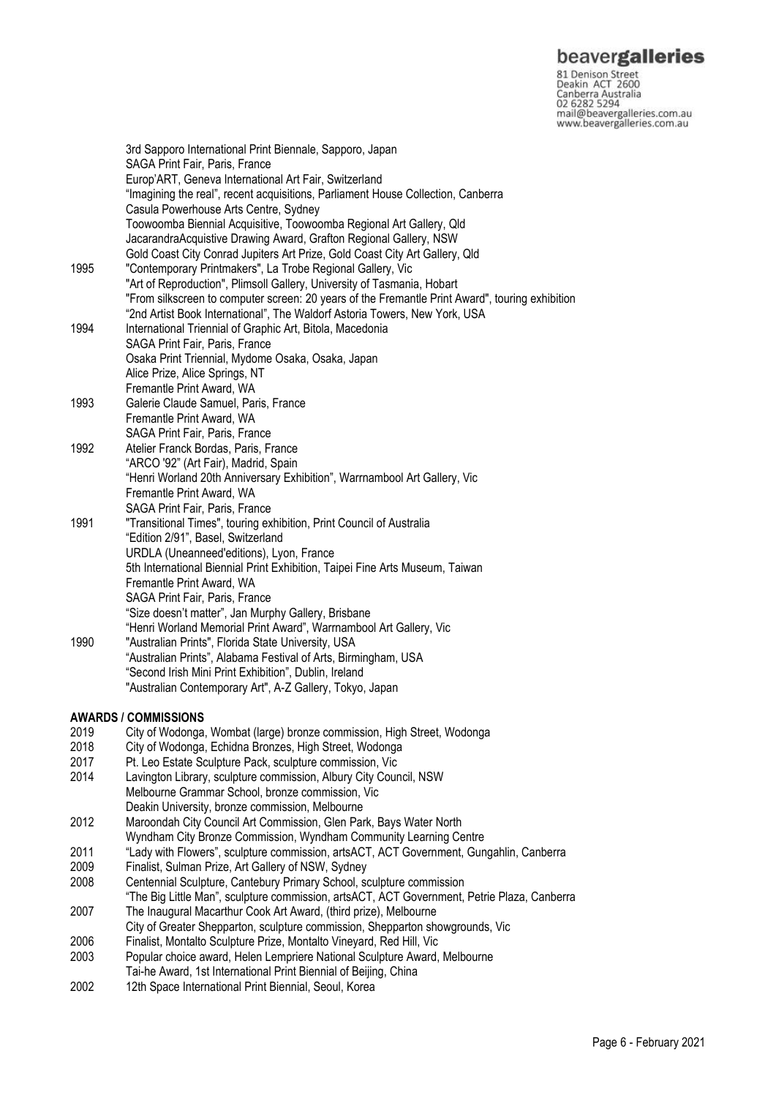nd Denison Street<br>
Beakin ACT 2600<br>
Canberra Australia<br>
22 6282 5294<br>
mail@beavergalleries.com.au<br>
www.beavergalleries.com.au www.beavergalleries.com.au

|      | 3rd Sapporo International Print Biennale, Sapporo, Japan                                        |
|------|-------------------------------------------------------------------------------------------------|
|      | SAGA Print Fair, Paris, France                                                                  |
|      | Europ'ART, Geneva International Art Fair, Switzerland                                           |
|      | "Imagining the real", recent acquisitions, Parliament House Collection, Canberra                |
|      | Casula Powerhouse Arts Centre, Sydney                                                           |
|      | Toowoomba Biennial Acquisitive, Toowoomba Regional Art Gallery, Qld                             |
|      | JacarandraAcquistive Drawing Award, Grafton Regional Gallery, NSW                               |
|      | Gold Coast City Conrad Jupiters Art Prize, Gold Coast City Art Gallery, Qld                     |
| 1995 | "Contemporary Printmakers", La Trobe Regional Gallery, Vic                                      |
|      | "Art of Reproduction", Plimsoll Gallery, University of Tasmania, Hobart                         |
|      | "From silkscreen to computer screen: 20 years of the Fremantle Print Award", touring exhibition |
|      | "2nd Artist Book International", The Waldorf Astoria Towers, New York, USA                      |
| 1994 | International Triennial of Graphic Art, Bitola, Macedonia                                       |
|      | SAGA Print Fair, Paris, France                                                                  |
|      | Osaka Print Triennial, Mydome Osaka, Osaka, Japan                                               |
|      | Alice Prize, Alice Springs, NT                                                                  |
|      | Fremantle Print Award, WA                                                                       |
| 1993 | Galerie Claude Samuel, Paris, France                                                            |
|      | Fremantle Print Award, WA                                                                       |
|      | SAGA Print Fair, Paris, France                                                                  |
| 1992 | Atelier Franck Bordas, Paris, France                                                            |
|      | "ARCO '92" (Art Fair), Madrid, Spain                                                            |
|      | "Henri Worland 20th Anniversary Exhibition", Warrnambool Art Gallery, Vic                       |
|      | Fremantle Print Award, WA                                                                       |
|      | SAGA Print Fair, Paris, France                                                                  |
| 1991 | "Transitional Times", touring exhibition, Print Council of Australia                            |
|      | "Edition 2/91", Basel, Switzerland                                                              |
|      | URDLA (Uneanneed'editions), Lyon, France                                                        |
|      | 5th International Biennial Print Exhibition, Taipei Fine Arts Museum, Taiwan                    |
|      | Fremantle Print Award, WA                                                                       |
|      | SAGA Print Fair, Paris, France                                                                  |
|      | "Size doesn't matter", Jan Murphy Gallery, Brisbane                                             |
|      | "Henri Worland Memorial Print Award", Warrnambool Art Gallery, Vic                              |
| 1990 | "Australian Prints", Florida State University, USA                                              |
|      | "Australian Prints", Alabama Festival of Arts, Birmingham, USA                                  |
|      | "Second Irish Mini Print Exhibition", Dublin, Ireland                                           |
|      | "Australian Contemporary Art", A-Z Gallery, Tokyo, Japan                                        |
|      |                                                                                                 |
|      | <b>AWARDS / COMMISSIONS</b>                                                                     |
| 2019 | City of Wodonga, Wombat (large) bronze commission, High Street, Wodonga                         |
| 2018 | City of Wodonga, Echidna Bronzes, High Street, Wodonga                                          |
| 2017 | Pt. Leo Estate Sculpture Pack, sculpture commission, Vic                                        |
| 2014 | Lavington Library, sculpture commission, Albury City Council, NSW                               |
|      | Melbourne Grammar School, bronze commission, Vic                                                |
|      | Deakin University, bronze commission, Melbourne                                                 |
| 2012 | Maroondah City Council Art Commission, Glen Park, Bays Water North                              |

- Wyndham City Bronze Commission, Wyndham Community Learning Centre
- 2011 "Lady with Flowers", sculpture commission, artsACT, ACT Government, Gungahlin, Canberra
- 2009 Finalist, Sulman Prize, Art Gallery of NSW, Sydney
- 2008 Centennial Sculpture, Cantebury Primary School, sculpture commission
- "The Big Little Man", sculpture commission, artsACT, ACT Government, Petrie Plaza, Canberra 2007 The Inaugural Macarthur Cook Art Award, (third prize), Melbourne
- City of Greater Shepparton, sculpture commission, Shepparton showgrounds, Vic
- 2006 Finalist, Montalto Sculpture Prize, Montalto Vineyard, Red Hill, Vic
- Popular choice award, Helen Lempriere National Sculpture Award, Melbourne
- Tai-he Award, 1st International Print Biennial of Beijing, China
- 2002 12th Space International Print Biennial, Seoul, Korea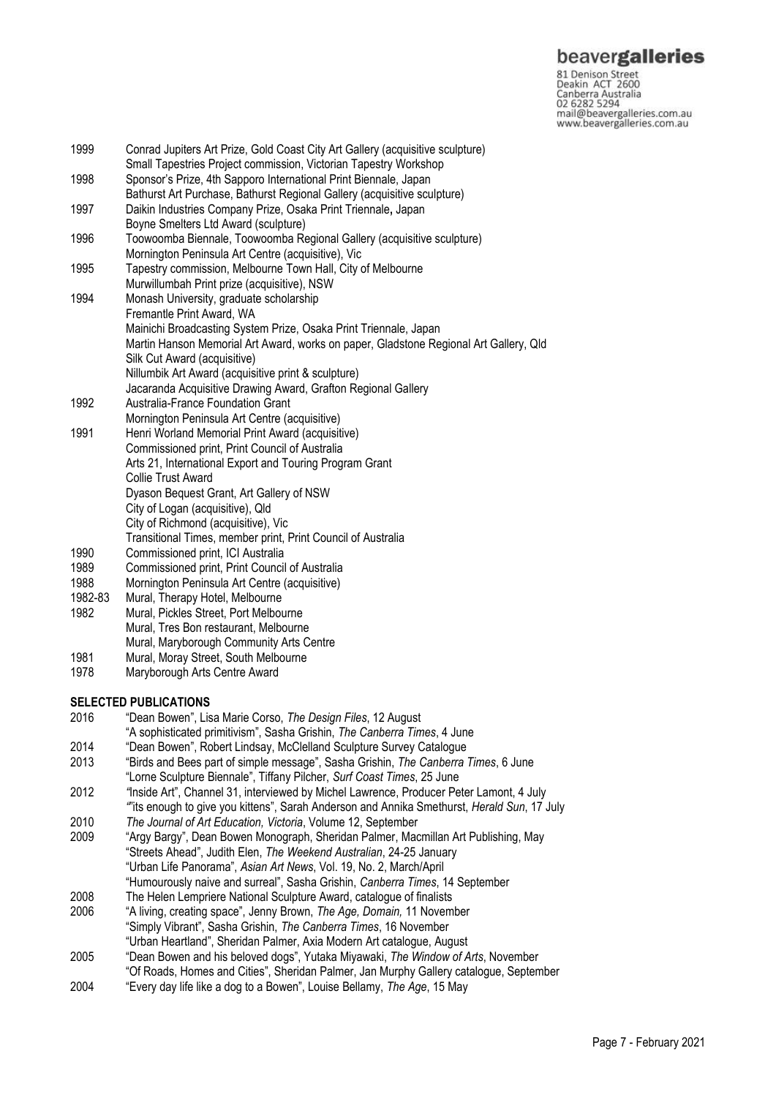## beavergalleries

81 Denison Street<br>Deakin ACT 2600 Canberra Australia 02 6282 5294 mail@beavergalleries.com.au www.beavergalleries.com.au

- 1999 Conrad Jupiters Art Prize, Gold Coast City Art Gallery (acquisitive sculpture) Small Tapestries Project commission, Victorian Tapestry Workshop 1998 Sponsor's Prize, 4th Sapporo International Print Biennale, Japan Bathurst Art Purchase, Bathurst Regional Gallery (acquisitive sculpture) 1997 Daikin Industries Company Prize, Osaka Print Triennale**,** Japan Boyne Smelters Ltd Award (sculpture) 1996 Toowoomba Biennale, Toowoomba Regional Gallery (acquisitive sculpture) Mornington Peninsula Art Centre (acquisitive), Vic 1995 Tapestry commission, Melbourne Town Hall, City of Melbourne Murwillumbah Print prize (acquisitive), NSW 1994 Monash University, graduate scholarship Fremantle Print Award, WA Mainichi Broadcasting System Prize, Osaka Print Triennale, Japan Martin Hanson Memorial Art Award, works on paper, Gladstone Regional Art Gallery, Qld Silk Cut Award (acquisitive) Nillumbik Art Award (acquisitive print & sculpture) Jacaranda Acquisitive Drawing Award, Grafton Regional Gallery 1992 Australia-France Foundation Grant Mornington Peninsula Art Centre (acquisitive) 1991 Henri Worland Memorial Print Award (acquisitive) Commissioned print, Print Council of Australia Arts 21, International Export and Touring Program Grant Collie Trust Award Dyason Bequest Grant, Art Gallery of NSW City of Logan (acquisitive), Qld City of Richmond (acquisitive), Vic Transitional Times, member print, Print Council of Australia 1990 Commissioned print, ICI Australia 1989 Commissioned print, Print Council of Australia<br>1988 Mornington Peninsula Art Centre (acquisitive) Mornington Peninsula Art Centre (acquisitive) 1982-83 Mural, Therapy Hotel, Melbourne 1982 Mural, Pickles Street, Port Melbourne Mural, Tres Bon restaurant, Melbourne Mural, Maryborough Community Arts Centre 1981 Mural, Moray Street, South Melbourne 1978 Maryborough Arts Centre Award **SELECTED PUBLICATIONS** 2016 "Dean Bowen", Lisa Marie Corso, *The Design Files*, 12 August "A sophisticated primitivism", Sasha Grishin, *The Canberra Times*, 4 June
- 2014 "Dean Bowen", Robert Lindsay, McClelland Sculpture Survey Catalogue<br>2013 "Birds and Bees part of simple message" Sasha Grishin The Canberra
- 2013 "Birds and Bees part of simple message", Sasha Grishin, *The Canberra Times*, 6 June "Lorne Sculpture Biennale", Tiffany Pilcher, *Surf Coast Times*, 25 June
- 2012 *"*Inside Art", Channel 31, interviewed by Michel Lawrence, Producer Peter Lamont, 4 July *"*"its enough to give you kittens", Sarah Anderson and Annika Smethurst, *Herald Sun*, 17 July
- 2010 *The Journal of Art Education, Victoria*, Volume 12, September
- 2009 "Argy Bargy", Dean Bowen Monograph, Sheridan Palmer, Macmillan Art Publishing, May "Streets Ahead", Judith Elen, *The Weekend Australian*, 24-25 January "Urban Life Panorama", *Asian Art News*, Vol. 19, No. 2, March/April "Humourously naive and surreal", Sasha Grishin, *Canberra Times*, 14 September
- 2008 The Helen Lempriere National Sculpture Award, catalogue of finalists
- 2006 "A living, creating space", Jenny Brown, *The Age, Domain,* 11 November "Simply Vibrant", Sasha Grishin, *The Canberra Times*, 16 November
- "Urban Heartland", Sheridan Palmer, Axia Modern Art catalogue, August
- 2005 "Dean Bowen and his beloved dogs", Yutaka Miyawaki, *The Window of Arts*, November
- "Of Roads, Homes and Cities", Sheridan Palmer, Jan Murphy Gallery catalogue, September 2004 "Every day life like a dog to a Bowen", Louise Bellamy, *The Age*, 15 May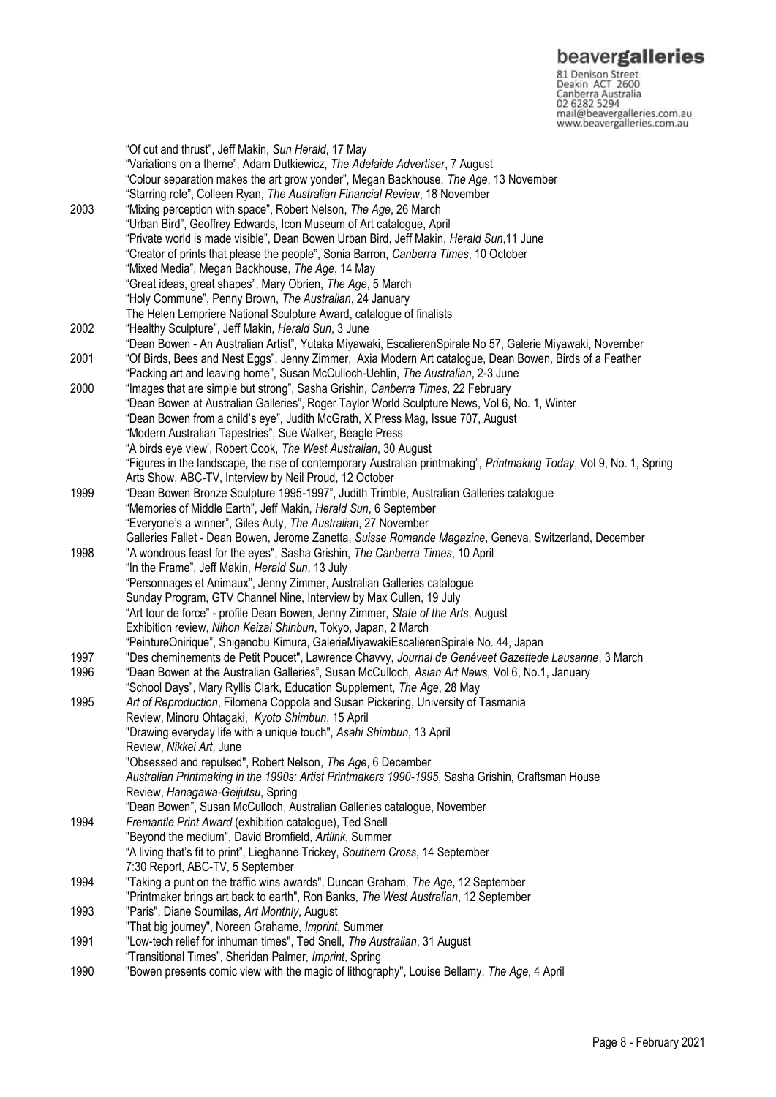81 Denison Street<br>Deakin ACT 2600 Canberra Australia 02 6282 5294 mail@beavergalleries.com.au www.beavergalleries.com.au

"Of cut and thrust", Jeff Makin, *Sun Herald*, 17 May "Variations on a theme", Adam Dutkiewicz, *The Adelaide Advertiser*, 7 August "Colour separation makes the art grow yonder", Megan Backhouse, *The Age*, 13 November "Starring role", Colleen Ryan, *The Australian Financial Review*, 18 November 2003 "Mixing perception with space", Robert Nelson, *The Age*, 26 March "Urban Bird", Geoffrey Edwards, Icon Museum of Art catalogue, April "Private world is made visible", Dean Bowen Urban Bird, Jeff Makin, *Herald Sun*,11 June "Creator of prints that please the people", Sonia Barron, *Canberra Times*, 10 October "Mixed Media", Megan Backhouse, *The Age*, 14 May "Great ideas, great shapes", Mary Obrien, *The Age*, 5 March "Holy Commune", Penny Brown, *The Australian*, 24 January The Helen Lempriere National Sculpture Award, catalogue of finalists 2002 "Healthy Sculpture", Jeff Makin, *Herald Sun*, 3 June "Dean Bowen - An Australian Artist", Yutaka Miyawaki, EscalierenSpirale No 57, Galerie Miyawaki, November 2001 "Of Birds, Bees and Nest Eggs", Jenny Zimmer, Axia Modern Art catalogue, Dean Bowen, Birds of a Feather "Packing art and leaving home", Susan McCulloch-Uehlin, *The Australian*, 2-3 June 2000 "Images that are simple but strong", Sasha Grishin, *Canberra Times*, 22 February "Dean Bowen at Australian Galleries", Roger Taylor World Sculpture News, Vol 6, No. 1, Winter "Dean Bowen from a child's eye", Judith McGrath, X Press Mag, Issue 707, August "Modern Australian Tapestries", Sue Walker, Beagle Press "A birds eye view', Robert Cook, *The West Australian*, 30 August "Figures in the landscape, the rise of contemporary Australian printmaking", *Printmaking Today*, Vol 9, No. 1, Spring Arts Show, ABC-TV, Interview by Neil Proud, 12 October 1999 "Dean Bowen Bronze Sculpture 1995-1997", Judith Trimble, Australian Galleries catalogue "Memories of Middle Earth", Jeff Makin, *Herald Sun*, 6 September "Everyone's a winner", Giles Auty, *The Australian*, 27 November Galleries Fallet - Dean Bowen, Jerome Zanetta, *Suisse Romande Magazine*, Geneva, Switzerland, December 1998 "A wondrous feast for the eyes", Sasha Grishin, *The Canberra Times*, 10 April "In the Frame", Jeff Makin, *Herald Sun*, 13 July "Personnages et Animaux", Jenny Zimmer, Australian Galleries catalogue Sunday Program, GTV Channel Nine, Interview by Max Cullen, 19 July "Art tour de force" - profile Dean Bowen, Jenny Zimmer, *State of the Arts*, August Exhibition review, *Nihon Keizai Shinbun*, Tokyo, Japan, 2 March "PeintureOnirique", Shigenobu Kimura, GalerieMiyawakiEscalierenSpirale No. 44, Japan 1997 "Des cheminements de Petit Poucet", Lawrence Chavvy, *Journal de Genéveet Gazettede Lausanne*, 3 March 1996 "Dean Bowen at the Australian Galleries", Susan McCulloch, *Asian Art News*, Vol 6, No.1, January "School Days", Mary Ryllis Clark, Education Supplement, *The Age*, 28 May 1995 *Art of Reproduction*, Filomena Coppola and Susan Pickering, University of Tasmania Review, Minoru Ohtagaki, *Kyoto Shimbun*, 15 April "Drawing everyday life with a unique touch", *Asahi Shimbun*, 13 April Review, *Nikkei Art*, June "Obsessed and repulsed", Robert Nelson, *The Age*, 6 December *Australian Printmaking in the 1990s: Artist Printmakers 1990-1995*, Sasha Grishin, Craftsman House Review, *Hanagawa-Geijutsu*, Spring "Dean Bowen", Susan McCulloch, Australian Galleries catalogue, November 1994 *Fremantle Print Award* (exhibition catalogue), Ted Snell "Beyond the medium", David Bromfield, *Artlink*, Summer "A living that's fit to print", Lieghanne Trickey, *Southern Cross*, 14 September 7:30 Report, ABC-TV, 5 September 1994 "Taking a punt on the traffic wins awards", Duncan Graham, *The Age*, 12 September "Printmaker brings art back to earth", Ron Banks, *The West Australian*, 12 September 1993 "Paris", Diane Soumilas, *Art Monthly*, August "That big journey", Noreen Grahame, *Imprint*, Summer 1991 "Low-tech relief for inhuman times", Ted Snell, *The Australian*, 31 August "Transitional Times", Sheridan Palmer, *Imprint*, Spring 1990 "Bowen presents comic view with the magic of lithography", Louise Bellamy, *The Age*, 4 April